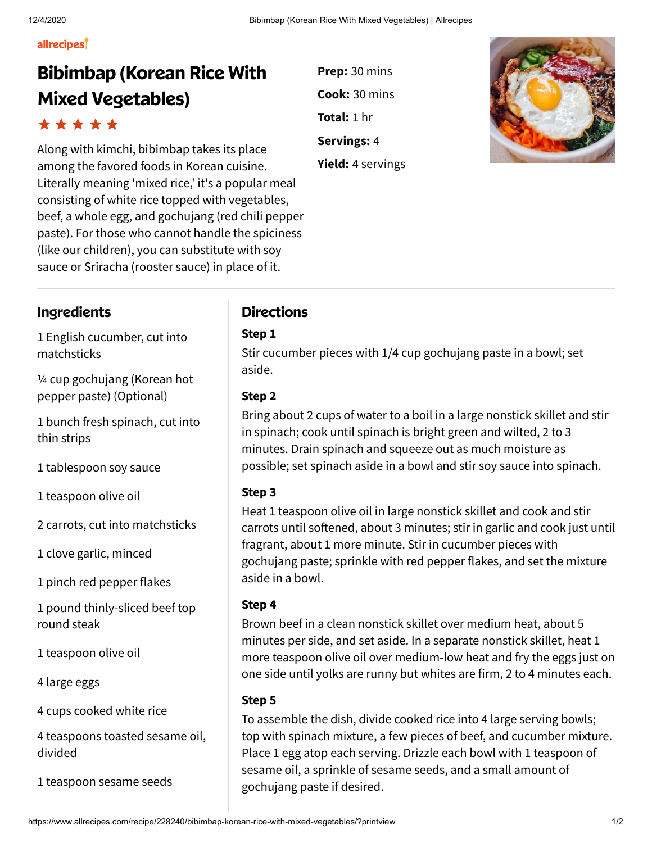#### allrecipes

# **Bibimbap (Korean Rice With Mixed Vegetables)**

Along with kimchi, bibimbap takes its place among the favored foods in Korean cuisine. Literally meaning 'mixed rice,' it's a popular meal consisting of white rice topped with vegetables, beef, a whole egg, and gochujang (red chili pepper paste). For those who cannot handle the spiciness (like our children), you can substitute with soy sauce or Sriracha (rooster sauce) in place of it.

**Prep:** 30 mins **Cook:** 30 mins **Total:** 1 hr **Servings:** 4 **Yield:** 4 servings



## **Ingredients Directions**

1 English cucumber, cut into matchsticks

¼ cup gochujang (Korean hot pepper paste) (Optional)

1 bunch fresh spinach, cut into thin strips

1 tablespoon soy sauce

1 teaspoon olive oil

2 carrots, cut into matchsticks

1 clove garlic, minced

1 pinch red pepper flakes

1 pound thinly-sliced beef top round steak

1 teaspoon olive oil

4 large eggs

4 cups cooked white rice

4 teaspoons toasted sesame oil, divided

1 teaspoon sesame seeds

### **Step 1**

Stir cucumber pieces with 1/4 cup gochujang paste in a bowl; set aside.

### **Step 2**

Bring about 2 cups of water to a boil in a large nonstick skillet and stir in spinach; cook until spinach is bright green and wilted, 2 to 3 minutes. Drain spinach and squeeze out as much moisture as possible; set spinach aside in a bowl and stir soy sauce into spinach.

### **Step 3**

Heat 1 teaspoon olive oil in large nonstick skillet and cook and stir carrots until softened, about 3 minutes; stir in garlic and cook just until fragrant, about 1 more minute. Stir in cucumber pieces with gochujang paste; sprinkle with red pepper flakes, and set the mixture aside in a bowl.

### **Step 4**

Brown beef in a clean nonstick skillet over medium heat, about 5 minutes per side, and set aside. In a separate nonstick skillet, heat 1 more teaspoon olive oil over medium-low heat and fry the eggs just on one side until yolks are runny but whites are firm, 2 to 4 minutes each.

### **Step 5**

To assemble the dish, divide cooked rice into 4 large serving bowls; top with spinach mixture, a few pieces of beef, and cucumber mixture. Place 1 egg atop each serving. Drizzle each bowl with 1 teaspoon of sesame oil, a sprinkle of sesame seeds, and a small amount of gochujang paste if desired.